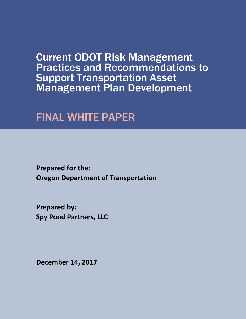Current ODOT Risk Management Practices and Recommendations to Support Transportation Asset Management Plan Development

## FINAL WHITE PAPER

**Prepared for the: Oregon Department of Transportation**

**Prepared by: Spy Pond Partners, LLC**

**December 14, 2017**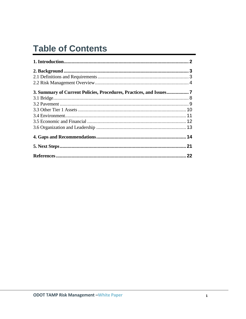# **Table of Contents**

| 3. Summary of Current Policies, Procedures, Practices, and Issues7 |    |
|--------------------------------------------------------------------|----|
|                                                                    |    |
|                                                                    |    |
|                                                                    |    |
|                                                                    |    |
|                                                                    |    |
|                                                                    |    |
|                                                                    |    |
|                                                                    |    |
|                                                                    | 22 |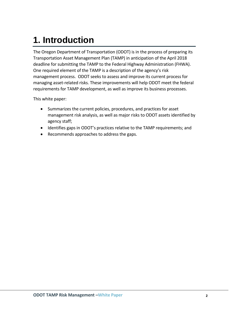# <span id="page-2-0"></span>**1. Introduction**

The Oregon Department of Transportation (ODOT) is in the process of preparing its Transportation Asset Management Plan (TAMP) in anticipation of the April 2018 deadline for submitting the TAMP to the Federal Highway Administration (FHWA). One required element of the TAMP is a description of the agency's risk management process. ODOT seeks to assess and improve its current process for managing asset-related risks. These improvements will help ODOT meet the federal requirements for TAMP development, as well as improve its business processes.

This white paper:

- Summarizes the current policies, procedures, and practices for asset management risk analysis, as well as major risks to ODOT assets identified by agency staff;
- Identifies gaps in ODOT's practices relative to the TAMP requirements; and
- Recommends approaches to address the gaps.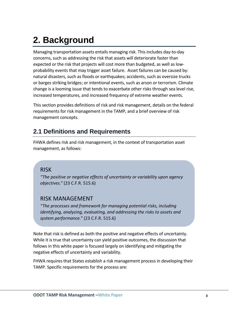# <span id="page-3-0"></span>**2. Background**

Managing transportation assets entails managing risk. This includes day-to-day concerns, such as addressing the risk that assets will deteriorate faster than expected or the risk that projects will cost more than budgeted, as well as lowprobability events that may trigger asset failure. Asset failures can be caused by: natural disasters, such as floods or earthquakes; accidents, such as oversize trucks or barges striking bridges; or intentional events, such as arson or terrorism. Climate change is a looming issue that tends to exacerbate other risks through sea level rise, increased temperatures, and increased frequency of extreme weather events.

This section provides definitions of risk and risk management, details on the federal requirements for risk management in the TAMP, and a brief overview of risk management concepts.

## <span id="page-3-1"></span>**2.1 Definitions and Requirements**

FHWA defines risk and risk management, in the context of transportation asset management, as follows:

### RISK

*"The positive or negative effects of uncertainty or variability upon agency objectives."* (23 C.F.R. 515.6)

### RISK MANAGEMENT

*"The processes and framework for managing potential risks, including identifying, analyzing, evaluating, and addressing the risks to assets and system performance."* (23 C.F.R. 515.6)

Note that risk is defined as both the positive and negative effects of uncertainty. While it is true that uncertainty can yield positive outcomes, the discussion that follows in this white paper is focused largely on identifying and mitigating the negative effects of uncertainty and variability.

FHWA requires that States establish a risk management process in developing their TAMP. Specific requirements for the process are: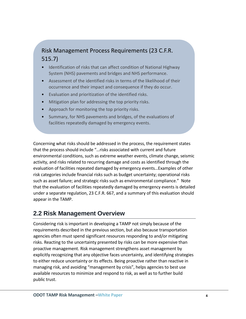## Risk Management Process Requirements (23 C.F.R. 515.7)

- Identification of risks that can affect condition of National Highway System (NHS) pavements and bridges and NHS performance.
- Assessment of the identified risks in terms of the likelihood of their occurrence and their impact and consequence if they do occur.
- Evaluation and prioritization of the identified risks.
- Mitigation plan for addressing the top priority risks.
- Approach for monitoring the top priority risks.
- Summary, for NHS pavements and bridges, of the evaluations of facilities repeatedly damaged by emergency events.

Concerning what risks should be addressed in the process, the requirement states that the process should include "…risks associated with current and future environmental conditions, such as extreme weather events, climate change, seismic activity, and risks related to recurring damage and costs as identified through the evaluation of facilities repeated damaged by emergency events…Examples of other risk categories include financial risks such as budget uncertainty; operational risks such as asset failure; and strategic risks such as environmental compliance." Note that the evaluation of facilities repeatedly damaged by emergency events is detailed under a separate regulation, 23 C.F.R. 667, and a summary of this evaluation should appear in the TAMP.

## <span id="page-4-0"></span>**2.2 Risk Management Overview**

Considering risk is important in developing a TAMP not simply because of the requirements described in the previous section, but also because transportation agencies often must spend significant resources responding to and/or mitigating risks. Reacting to the uncertainty presented by risks can be more expensive than proactive management. Risk management strengthens asset management by explicitly recognizing that any objective faces uncertainty, and identifying strategies to either reduce uncertainty or its effects. Being proactive rather than reactive in managing risk, and avoiding "management by crisis", helps agencies to best use available resources to minimize and respond to risk, as well as to further build public trust.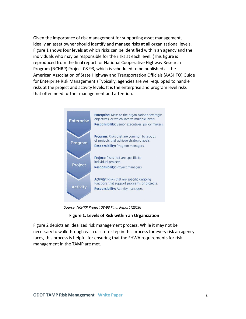Given the importance of risk management for supporting asset management, ideally an asset owner should identify and manage risks at all organizational levels. Figure 1 shows four levels at which risks can be identified within an agency and the individuals who may be responsible for the risks at each level. (This figure is reproduced from the final report for National Cooperative Highway Research Program (NCHRP) Project 08-93, which is scheduled to be published as the American Association of State Highway and Transportation Officials (AASHTO) Guide for Enterprise Risk Management.) Typically, agencies are well-equipped to handle risks at the project and activity levels. It is the enterprise and program level risks that often need further management and attention.



*Source: NCHRP Project 08-93 Final Report (2016)*

#### **Figure 1. Levels of Risk within an Organization**

Figure 2 depicts an idealized risk management process. While it may not be necessary to walk through each discrete step in this process for every risk an agency faces, this process is helpful for ensuring that the FHWA requirements for risk management in the TAMP are met.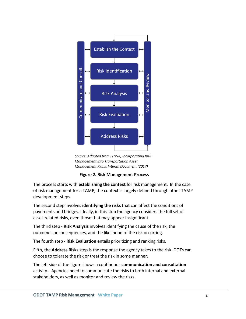

*Source: Adapted from FHWA, Incorporating Risk Management into Transportation Asset Management Plans: Interim Document (2017)*

**Figure 2. Risk Management Process**

The process starts with **establishing the context** for risk management. In the case of risk management for a TAMP, the context is largely defined through other TAMP development steps.

The second step involves **identifying the risks** that can affect the conditions of pavements and bridges. Ideally, in this step the agency considers the full set of asset-related risks, even those that may appear insignificant.

The third step - **Risk Analysis** involves identifying the cause of the risk, the outcomes or consequences, and the likelihood of the risk occurring.

The fourth step - **Risk Evaluation** entails prioritizing and ranking risks.

Fifth, the **Address Risks** step is the response the agency takes to the risk. DOTs can choose to tolerate the risk or treat the risk in some manner.

The left side of the figure shows a continuous **communication and consultation** activity. Agencies need to communicate the risks to both internal and external stakeholders, as well as monitor and review the risks.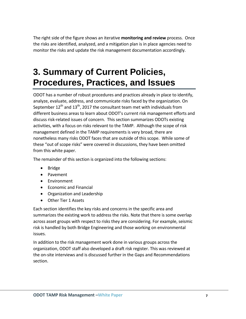The right side of the figure shows an iterative **monitoring and review** process. Once the risks are identified, analyzed, and a mitigation plan is in place agencies need to monitor the risks and update the risk management documentation accordingly.

## <span id="page-7-0"></span>**3. Summary of Current Policies, Procedures, Practices, and Issues**

ODOT has a number of robust procedures and practices already in place to identify, analyze, evaluate, address, and communicate risks faced by the organization. On September  $12^{th}$  and  $13^{th}$ , 2017 the consultant team met with individuals from different business areas to learn about ODOT's current risk management efforts and discuss risk-related issues of concern. This section summarizes ODOTs existing activities, with a focus on risks relevant to the TAMP. Although the scope of risk management defined in the TAMP requirements is very broad, there are nonetheless many risks ODOT faces that are outside of this scope. While some of these "out of scope risks" were covered in discussions, they have been omitted from this white paper.

The remainder of this section is organized into the following sections:

- Bridge
- Pavement
- **•** Environment
- Economic and Financial
- Organization and Leadership
- Other Tier 1 Assets

Each section identifies the key risks and concerns in the specific area and summarizes the existing work to address the risks. Note that there is some overlap across asset groups with respect to risks they are considering. For example, seismic risk is handled by both Bridge Engineering and those working on environmental issues.

In addition to the risk management work done in various groups across the organization, ODOT staff also developed a draft risk register. This was reviewed at the on-site interviews and is discussed further in the Gaps and Recommendations section.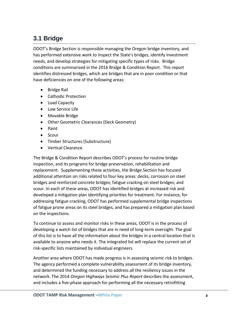## <span id="page-8-0"></span>**3.1 Bridge**

ODOT's Bridge Section is responsible managing the Oregon bridge inventory, and has performed extensive work to inspect the State's bridges, identify investment needs, and develop strategies for mitigating specific types of risks. Bridge conditions are summarized in the 2016 Bridge & Condition Report. This report identifies distressed bridges, which are bridges that are in poor condition or that have deficiencies on one of the following areas:

- Bridge Rail
- Cathodic Protection
- Load Capacity
- Low Service Life
- Movable Bridge
- Other Geometric Clearances (Deck Geometry)
- Paint
- Scour
- Timber Structures (Substructure)
- Vertical Clearance

The Bridge & Condition Report describes ODOT's process for routine bridge inspection, and its programs for bridge preservation, rehabilitation and replacement. Supplementing these activities, the Bridge Section has focused additional attention on risks related to four key areas: decks; corrosion on steel bridges and reinforced concrete bridges; fatigue cracking on steel bridges; and scour. In each of these areas, ODOT has identified bridges at increased risk and developed a mitigation plan identifying priorities for treatment. For instance, for addressing fatigue cracking, ODOT has performed supplemental bridge inspections of fatigue prone areas on its steel bridges, and has prepared a mitigation plan based on the inspections.

To continue to assess and monitor risks in these areas, ODOT is in the process of developing a watch list of bridges that are in need of long-term oversight. The goal of this list is to have all the information about the bridges in a central location that is available to anyone who needs it. The integrated list will replace the current set of risk-specific lists maintained by individual engineers.

Another area where ODOT has made progress is in assessing seismic risk to bridges. The agency performed a complete vulnerability assessment of its bridge inventory, and determined the funding necessary to address all the resiliency issues in the network. The 2014 *Oregon Highways Seismic Plus Report* describes the assessment, and includes a five-phase approach for performing all the necessary retrofitting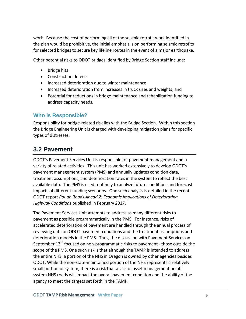work. Because the cost of performing all of the seismic retrofit work identified in the plan would be prohibitive, the initial emphasis is on performing seismic retrofits for selected bridges to secure key lifeline routes in the event of a major earthquake.

Other potential risks to ODOT bridges identified by Bridge Section staff include:

- Bridge hits
- Construction defects
- Increased deterioration due to winter maintenance
- Increased deterioration from increases in truck sizes and weights; and
- Potential for reductions in bridge maintenance and rehabilitation funding to address capacity needs.

#### **Who is Responsible?**

Responsibility for bridge-related risk lies with the Bridge Section. Within this section the Bridge Engineering Unit is charged with developing mitigation plans for specific types of distresses.

## <span id="page-9-0"></span>**3.2 Pavement**

ODOT's Pavement Services Unit is responsible for pavement management and a variety of related activities. This unit has worked extensively to develop ODOT's pavement management system (PMS) and annually updates condition data, treatment assumptions, and deterioration rates in the system to reflect the best available data. The PMS is used routinely to analyze future conditions and forecast impacts of different funding scenarios. One such analysis is detailed in the recent ODOT report *Rough Roads Ahead 2: Economic Implications of Deteriorating Highway Conditions* published in February 2017.

The Pavement Services Unit attempts to address as many different risks to pavement as possible programmatically in the PMS. For instance, risks of accelerated deterioration of pavement are handled through the annual process of reviewing data on ODOT pavement conditions and the treatment assumptions and deterioration models in the PMS. Thus, the discussion with Pavement Services on September 13<sup>th</sup> focused on non-programmatic risks to pavement - those outside the scope of the PMS. One such risk is that although the TAMP is intended to address the entire NHS, a portion of the NHS in Oregon is owned by other agencies besides ODOT. While the non-state-maintained portion of the NHS represents a relatively small portion of system, there is a risk that a lack of asset management on offsystem NHS roads will impact the overall pavement condition and the ability of the agency to meet the targets set forth in the TAMP.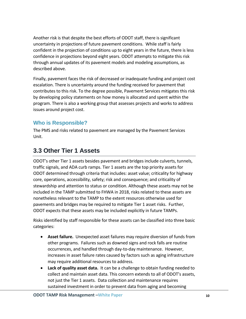Another risk is that despite the best efforts of ODOT staff, there is significant uncertainty in projections of future pavement conditions. While staff is fairly confident in the projection of conditions up to eight years in the future, there is less confidence in projections beyond eight years. ODOT attempts to mitigate this risk through annual updates of its pavement models and modeling assumptions, as described above.

Finally, pavement faces the risk of decreased or inadequate funding and project cost escalation. There is uncertainty around the funding received for pavement that contributes to this risk. To the degree possible, Pavement Services mitigates this risk by developing policy statements on how money is allocated and spent within the program. There is also a working group that assesses projects and works to address issues around project cost.

### **Who is Responsible?**

The PMS and risks related to pavement are managed by the Pavement Services Unit.

## <span id="page-10-0"></span>**3.3 Other Tier 1 Assets**

ODOT's other Tier 1 assets besides pavement and bridges include culverts, tunnels, traffic signals, and ADA curb ramps. Tier 1 assets are the top priority assets for ODOT determined through criteria that includes: asset value; criticality for highway core, operations, accessibility, safety; risk and consequence; and criticality of stewardship and attention to status or condition. Although these assets may not be included in the TAMP submitted to FHWA in 2018, risks related to these assets are nonetheless relevant to the TAMP to the extent resources otherwise used for pavements and bridges may be required to mitigate Tier 1 asset risks. Further, ODOT expects that these assets may be included explicitly in future TAMPs.

Risks identified by staff responsible for these assets can be classified into three basic categories:

- **Asset failure.** Unexpected asset failures may require diversion of funds from other programs. Failures such as downed signs and rock falls are routine occurrences, and handled through day-to-day maintenance. However, increases in asset failure rates caused by factors such as aging infrastructure may require additional resources to address.
- **Lack of quality asset data.** It can be a challenge to obtain funding needed to collect and maintain asset data. This concern extends to all of ODOT's assets, not just the Tier 1 assets. Data collection and maintenance requires sustained investment in order to prevent data from aging and becoming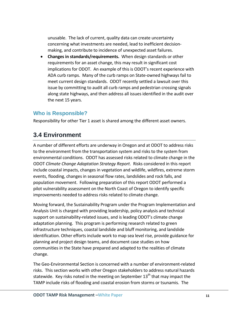unusable. The lack of current, quality data can create uncertainty concerning what investments are needed, lead to inefficient decisionmaking, and contribute to incidence of unexpected asset failures.

 **Changes in standards/requirements.** When design standards or other requirements for an asset change, this may result in significant cost implications for ODOT. An example of this is ODOT's recent experience with ADA curb ramps. Many of the curb ramps on State-owned highways fail to meet current design standards. ODOT recently settled a lawsuit over this issue by committing to audit all curb ramps and pedestrian crossing signals along state highways, and then address all issues identified in the audit over the next 15 years.

#### **Who is Responsible?**

Responsibility for other Tier 1 asset is shared among the different asset owners.

## <span id="page-11-0"></span>**3.4 Environment**

A number of different efforts are underway in Oregon and at ODOT to address risks to the environment from the transportation system and risks to the system from environmental conditions. ODOT has assessed risks related to climate change in the ODOT *Climate Change Adaptation Strategy Report*. Risks considered in this report include coastal impacts, changes in vegetation and wildlife, wildfires, extreme storm events, flooding, changes in seasonal flow rates, landslides and rock falls, and population movement. Following preparation of this report ODOT performed a pilot vulnerability assessment on the North Coast of Oregon to identify specific improvements needed to address risks related to climate change.

Moving forward, the Sustainability Program under the Program Implementation and Analysis Unit is charged with providing leadership, policy analysis and technical support on sustainability-related issues, and is leading ODOT's climate change adaptation planning. This program is performing research related to green infrastructure techniques, coastal landslide and bluff monitoring, and landslide identification. Other efforts include work to map sea level rise, provide guidance for planning and project design teams, and document case studies on how communities in the State have prepared and adapted to the realities of climate change.

The Geo-Environmental Section is concerned with a number of environment-related risks. This section works with other Oregon stakeholders to address natural hazards statewide. Key risks noted in the meeting on September  $13<sup>th</sup>$  that may impact the TAMP include risks of flooding and coastal erosion from storms or tsunamis. The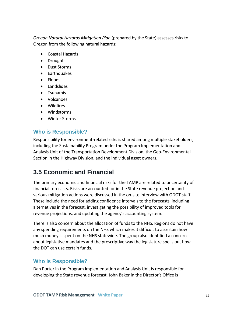*Oregon Natural Hazards Mitigation Plan* (prepared by the State) assesses risks to Oregon from the following natural hazards:

- Coastal Hazards
- Droughts
- Dust Storms
- Earthquakes
- Floods
- Landslides
- Tsunamis
- Volcanoes
- Wildfires
- Windstorms
- Winter Storms

#### **Who is Responsible?**

Responsibility for environment-related risks is shared among multiple stakeholders, including the Sustainability Program under the Program Implementation and Analysis Unit of the Transportation Development Division, the Geo-Environmental Section in the Highway Division, and the individual asset owners.

### <span id="page-12-0"></span>**3.5 Economic and Financial**

The primary economic and financial risks for the TAMP are related to uncertainty of financial forecasts. Risks are accounted for in the State revenue projection and various mitigation actions were discussed in the on-site interview with ODOT staff. These include the need for adding confidence intervals to the forecasts, including alternatives in the forecast, investigating the possibility of improved tools for revenue projections, and updating the agency's accounting system.

There is also concern about the allocation of funds to the NHS. Regions do not have any spending requirements on the NHS which makes it difficult to ascertain how much money is spent on the NHS statewide. The group also identified a concern about legislative mandates and the prescriptive way the legislature spells out how the DOT can use certain funds.

#### **Who is Responsible?**

Dan Porter in the Program Implementation and Analysis Unit is responsible for developing the State revenue forecast. John Baker in the Director's Office is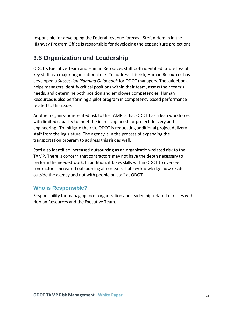responsible for developing the Federal revenue forecast. Stefan Hamlin in the Highway Program Office is responsible for developing the expenditure projections.

## <span id="page-13-0"></span>**3.6 Organization and Leadership**

ODOT's Executive Team and Human Resources staff both identified future loss of key staff as a major organizational risk. To address this risk, Human Resources has developed a *Succession Planning Guidebook* for ODOT managers. The guidebook helps managers identify critical positions within their team, assess their team's needs, and determine both position and employee competencies. Human Resources is also performing a pilot program in competency based performance related to this issue.

Another organization-related risk to the TAMP is that ODOT has a lean workforce, with limited capacity to meet the increasing need for project delivery and engineering. To mitigate the risk, ODOT is requesting additional project delivery staff from the legislature. The agency is in the process of expanding the transportation program to address this risk as well.

Staff also identified increased outsourcing as an organization-related risk to the TAMP. There is concern that contractors may not have the depth necessary to perform the needed work. In addition, it takes skills within ODOT to oversee contractors. Increased outsourcing also means that key knowledge now resides outside the agency and not with people on staff at ODOT.

### **Who is Responsible?**

Responsibility for managing most organization and leadership-related risks lies with Human Resources and the Executive Team.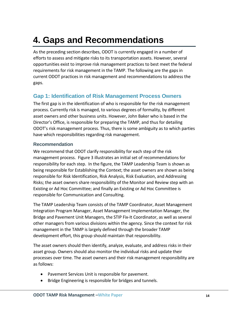# <span id="page-14-0"></span>**4. Gaps and Recommendations**

As the preceding section describes, ODOT is currently engaged in a number of efforts to assess and mitigate risks to its transportation assets. However, several opportunities exist to improve risk management practices to best meet the federal requirements for risk management in the TAMP. The following are the gaps in current ODOT practices in risk management and recommendations to address the gaps.

### **Gap 1: Identification of Risk Management Process Owners**

The first gap is in the identification of who is responsible for the risk management process. Currently risk is managed, to various degrees of formality, by different asset owners and other business units. However, John Baker who is based in the Director's Office, is responsible for preparing the TAMP, and thus for detailing ODOT's risk management process. Thus, there is some ambiguity as to which parties have which responsibilities regarding risk management.

#### **Recommendation**

We recommend that ODOT clarify responsibility for each step of the risk management process. Figure 3 illustrates an initial set of recommendations for responsibility for each step. In the figure, the TAMP Leadership Team is shown as being responsible for Establishing the Context; the asset owners are shown as being responsible for Risk Identification, Risk Analysis, Risk Evaluation, and Addressing Risks; the asset owners share responsibility of the Monitor and Review step with an Existing or Ad Hoc Committee; and finally an Existing or Ad Hoc Committee is responsible for Communication and Consulting.

The TAMP Leadership Team consists of the TAMP Coordinator, Asset Management Integration Program Manager, Asset Management Implementation Manager, the Bridge and Pavement Unit Managers, the STIP Fix-It Coordinator, as well as several other managers from various divisions within the agency. Since the context for risk management in the TAMP is largely defined through the broader TAMP development effort, this group should maintain that responsibility.

The asset owners should then identify, analyze, evaluate, and address risks in their asset group. Owners should also monitor the individual risks and update their processes over time. The asset owners and their risk management responsibility are as follows:

- Pavement Services Unit is responsible for pavement.
- Bridge Engineering is responsible for bridges and tunnels.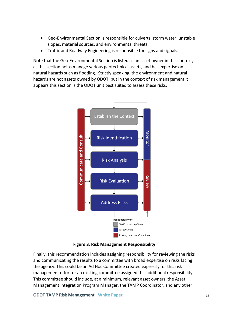- Geo-Environmental Section is responsible for culverts, storm water, unstable slopes, material sources, and environmental threats.
- Traffic and Roadway Engineering is responsible for signs and signals.

Note that the Geo-Environmental Section is listed as an asset owner in this context, as this section helps manage various geotechnical assets, and has expertise on natural hazards such as flooding. Strictly speaking, the environment and natural hazards are not assets owned by ODOT, but in the context of risk management it appears this section is the ODOT unit best suited to assess these risks.



**Figure 3. Risk Management Responsibility** 

Finally, this recommendation includes assigning responsibility for reviewing the risks and communicating the results to a committee with broad expertise on risks facing the agency. This could be an Ad Hoc Committee created expressly for this risk management effort or an existing committee assigned this additional responsibility. This committee should include, at a minimum, relevant asset owners, the Asset Management Integration Program Manager, the TAMP Coordinator, and any other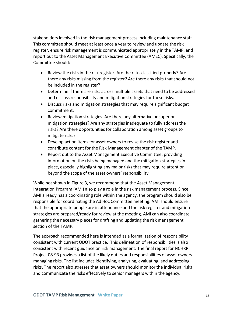stakeholders involved in the risk management process including maintenance staff. This committee should meet at least once a year to review and update the risk register, ensure risk management is communicated appropriately in the TAMP, and report out to the Asset Management Executive Committee (AMEC). Specifically, the Committee should:

- Review the risks in the risk register. Are the risks classified properly? Are there any risks missing from the register? Are there any risks that should not be included in the register?
- Determine if there are risks across multiple assets that need to be addressed and discuss responsibility and mitigation strategies for these risks.
- Discuss risks and mitigation strategies that may require significant budget commitment.
- Review mitigation strategies. Are there any alternative or superior mitigation strategies? Are any strategies inadequate to fully address the risks? Are there opportunities for collaboration among asset groups to mitigate risks?
- Develop action items for asset owners to revise the risk register and contribute content for the Risk Management chapter of the TAMP.
- Report out to the Asset Management Executive Committee, providing information on the risks being managed and the mitigation strategies in place, especially highlighting any major risks that may require attention beyond the scope of the asset owners' responsibility.

While not shown in Figure 3, we recommend that the Asset Management Integration Program (AMI) also play a role in the risk management process. Since AMI already has a coordinating role within the agency, the program should also be responsible for coordinating the Ad Hoc Committee meeting. AMI should ensure that the appropriate people are in attendance and the risk register and mitigation strategies are prepared/ready for review at the meeting. AMI can also coordinate gathering the necessary pieces for drafting and updating the risk management section of the TAMP.

The approach recommended here is intended as a formalization of responsibility consistent with current ODOT practice. This delineation of responsibilities is also consistent with recent guidance on risk management. The final report for NCHRP Project 08-93 provides a list of the likely duties and responsibilities of asset owners managing risks. The list includes identifying, analyzing, evaluating, and addressing risks. The report also stresses that asset owners should monitor the individual risks and communicate the risks effectively to senior managers within the agency.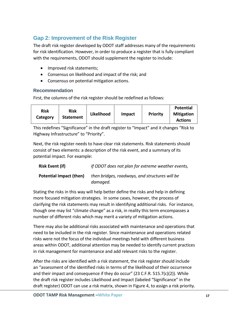## **Gap 2: Improvement of the Risk Register**

The draft risk register developed by ODOT staff addresses many of the requirements for risk identification. However, in order to produce a register that is fully compliant with the requirements, ODOT should supplement the register to include:

- Improved risk statements;
- Consensus on likelihood and impact of the risk; and
- Consensus on potential mitigation actions.

#### **Recommendation**

First, the columns of the risk register should be redefined as follows:

| <b>Risk</b><br>Category | Risk<br><b>Statement</b> | Likelihood | Impact | Priority | <b>Potential</b><br><b>Mitigation</b><br><b>Actions</b> |
|-------------------------|--------------------------|------------|--------|----------|---------------------------------------------------------|
|-------------------------|--------------------------|------------|--------|----------|---------------------------------------------------------|

This redefines "Significance" in the draft register to "Impact" and it changes "Risk to Highway Infrastructure" to "Priority".

Next, the risk register needs to have clear risk statements. Risk statements should consist of two elements: a description of the risk event, and a summary of its potential impact. For example:

| <b>Risk Event (if)</b>  | If ODOT does not plan for extreme weather events,          |
|-------------------------|------------------------------------------------------------|
| Potential Impact (then) | then bridges, roadways, and structures will be<br>damaged. |

Stating the risks in this way will help better define the risks and help in defining more focused mitigation strategies. In some cases, however, the process of clarifying the risk statements may result in identifying additional risks. For instance, though one may list "climate change" as a risk, in reality this term encompasses a number of different risks which may merit a variety of mitigation actions.

There may also be additional risks associated with maintenance and operations that need to be included in the risk register. Since maintenance and operations related risks were not the focus of the individual meetings held with different business areas within ODOT, additional attention may be needed to identify current practices in risk management for maintenance and add relevant risks to the register.

After the risks are identified with a risk statement, the risk register should include an "assessment of the identified risks in terms of the likelihood of their occurrence and their impact and consequence if they do occur"  $(23 C.F.R. 515.7(c)(2))$ . While the draft risk register includes Likelihood and Impact (labeled "Significance" in the draft register) ODOT can use a risk matrix, shown in Figure 4, to assign a risk priority.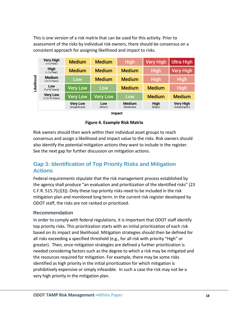This is one version of a risk matrix that can be used for this activity. Prior to assessment of the risks by individual risk owners, there should be consensus on a consistent approach for assigning likelihood and impact to risks.

| ikelihood | <b>Very High</b><br>$($ >1x/Year $)$ | <b>Medium</b>                      | <b>Medium</b>   | <b>High</b>                 | <b>Very High</b>       | Ultra High                         |
|-----------|--------------------------------------|------------------------------------|-----------------|-----------------------------|------------------------|------------------------------------|
|           | <b>High</b><br>$(\sim 1x/Year)$      | <b>Medium</b>                      | <b>Medium</b>   | <b>Medium</b>               | <b>High</b>            | <b>Very High</b>                   |
|           | <b>Medium</b><br>$(1x/3$ Years)      | Low                                | <b>Medium</b>   | <b>Medium</b>               | <b>High</b>            | <b>High</b>                        |
|           | Low<br>$(1x/10$ Years)               | <b>Very Low</b>                    | Low             | <b>Medium</b>               | <b>Medium</b>          | <b>High</b>                        |
|           | <b>Very Low</b><br>$(1x/10 Years)$   | <b>Very Low</b>                    | <b>Very Low</b> | Low                         | <b>Medium</b>          | <b>Medium</b>                      |
|           |                                      | <b>Very Low</b><br>(Insignificant) | Low<br>(Minor)  | <b>Medium</b><br>(Moderate) | <b>High</b><br>(Major) | <b>Very High</b><br>(Catastrophic) |

Impact

**Figure 4. Example Risk Matrix**

Risk owners should then work within their individual asset groups to reach consensus and assign a likelihood and impact value to the risks. Risk owners should also identify the potential mitigation actions they want to include in the register. See the next gap for further discussion on mitigation actions.

### **Gap 3: Identification of Top Priority Risks and Mitigation Actions**

Federal requirements stipulate that the risk management process established by the agency shall produce "an evaluation and prioritization of the identified risks" (23 C.F.R. 515.7(c)(3)). Only these top priority risks need to be included in the risk mitigation plan and monitored long term. In the current risk register developed by ODOT staff, the risks are not ranked or prioritized.

#### **Recommendation**

In order to comply with federal regulations, it is important that ODOT staff identify top priority risks. This prioritization starts with an initial prioritization of each risk based on its impact and likelihood. Mitigation strategies should then be defined for all risks exceeding a specified threshold (e.g., for all risk with priority "High" or greater). Then, once mitigation strategies are defined a further prioritization is needed considering factors such as the degree to which a risk may be mitigated and the resources required for mitigation. For example, there may be some risks identified as high priority in the initial prioritization for which mitigation is prohibitively expensive or simply infeasible. In such a case the risk may not be a very high priority in the mitigation plan.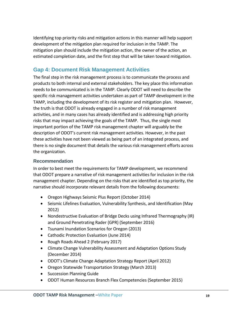Identifying top priority risks and mitigation actions in this manner will help support development of the mitigation plan required for inclusion in the TAMP. The mitigation plan should include the mitigation action, the owner of the action, an estimated completion date, and the first step that will be taken toward mitigation.

#### **Gap 4: Document Risk Management Activities**

The final step in the risk management process is to communicate the process and products to both internal and external stakeholders. The key place this information needs to be communicated is in the TAMP. Clearly ODOT will need to describe the specific risk management activities undertaken as part of TAMP development in the TAMP, including the development of its risk register and mitigation plan. However, the truth is that ODOT is already engaged in a number of risk management activities, and in many cases has already identified and is addressing high priority risks that may impact achieving the goals of the TAMP. Thus, the single most important portion of the TAMP risk management chapter will arguably be the description of ODOT's current risk management activities. However, in the past these activities have not been viewed as being part of an integrated process, and there is no single document that details the various risk management efforts across the organization.

#### **Recommendation**

In order to best meet the requirements for TAMP development, we recommend that ODOT prepare a narrative of risk management activities for inclusion in the risk management chapter. Depending on the risks that are identified as top priority, the narrative should incorporate relevant details from the following documents:

- Oregon Highways Seismic Plus Report (October 2014)
- Seismic Lifelines Evaluation, Vulnerability Synthesis, and Identification (May 2012)
- Nondestructive Evaluation of Bridge Decks using Infrared Thermography (IR) and Ground Penetrating Rader (GPR) (September 2016)
- Tsunami Inundation Scenarios for Oregon (2013)
- Cathodic Protection Evaluation (June 2014)
- Rough Roads Ahead 2 (February 2017)
- Climate Change Vulnerability Assessment and Adaptation Options Study (December 2014)
- ODOT's Climate Change Adaptation Strategy Report (April 2012)
- Oregon Statewide Transportation Strategy (March 2013)
- Succession Planning Guide
- ODOT Human Resources Branch Flex Competencies (September 2015)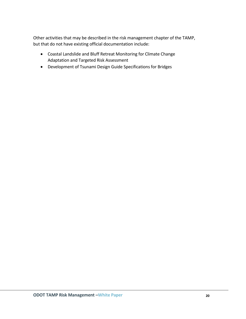Other activities that may be described in the risk management chapter of the TAMP, but that do not have existing official documentation include:

- Coastal Landslide and Bluff Retreat Monitoring for Climate Change Adaptation and Targeted Risk Assessment
- Development of Tsunami Design Guide Specifications for Bridges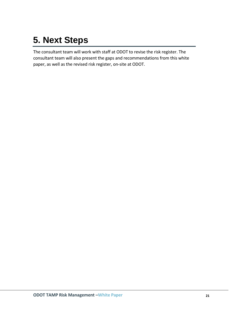# <span id="page-21-0"></span>**5. Next Steps**

The consultant team will work with staff at ODOT to revise the risk register. The consultant team will also present the gaps and recommendations from this white paper, as well as the revised risk register, on-site at ODOT.